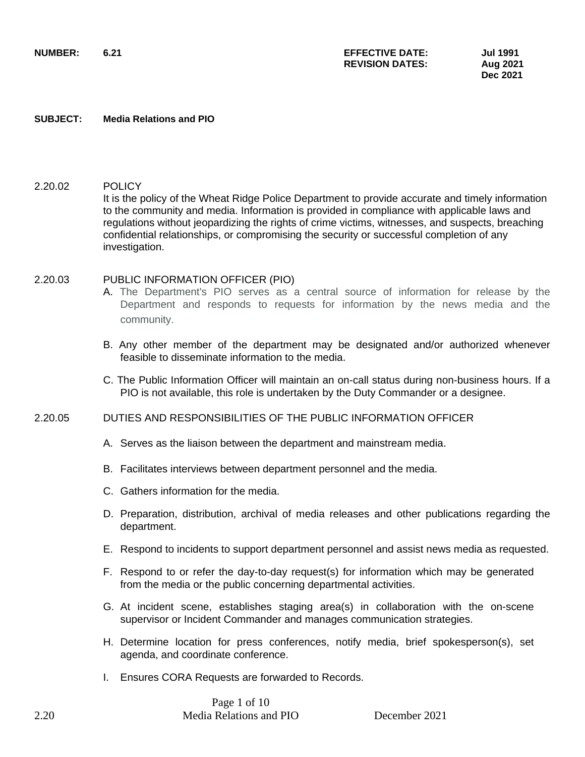**SUBJECT: Media Relations and PIO**

## 2.20.02 POLICY

It is the policy of the Wheat Ridge Police Department to provide accurate and timely information to the community and media. Information is provided in compliance with applicable laws and regulations without jeopardizing the rights of crime victims, witnesses, and suspects, breaching confidential relationships, or compromising the security or successful completion of any investigation.

### 2.20.03 PUBLIC INFORMATION OFFICER (PIO)

- A. The Department's PIO serves as a central source of information for release by the Department and responds to requests for information by the news media and the community.
- B. Any other member of the department may be designated and/or authorized whenever feasible to disseminate information to the media.
- C. The Public Information Officer will maintain an on-call status during non-business hours. If a PIO is not available, this role is undertaken by the Duty Commander or a designee.

### 2.20.05 DUTIES AND RESPONSIBILITIES OF THE PUBLIC INFORMATION OFFICER

- A. Serves as the liaison between the department and mainstream media.
- B. Facilitates interviews between department personnel and the media.
- C. Gathers information for the media.
- D. Preparation, distribution, archival of media releases and other publications regarding the department.
- E. Respond to incidents to support department personnel and assist news media as requested.
- F. Respond to or refer the day-to-day request(s) for information which may be generated from the media or the public concerning departmental activities.
- G. At incident scene, establishes staging area(s) in collaboration with the on-scene supervisor or Incident Commander and manages communication strategies.
- H. Determine location for press conferences, notify media, brief spokesperson(s), set agenda, and coordinate conference.
- I. Ensures CORA Requests are forwarded to Records.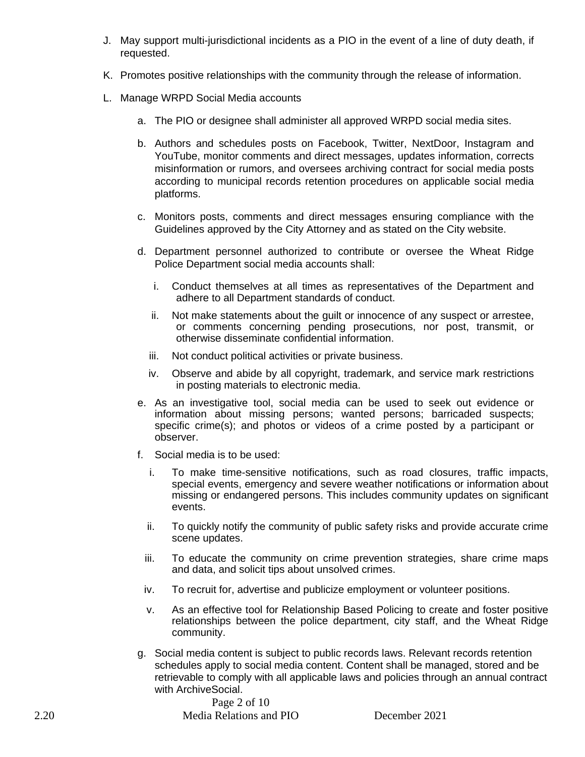- J. May support multi-jurisdictional incidents as a PIO in the event of a line of duty death, if requested.
- K. Promotes positive relationships with the community through the release of information.
- L. Manage WRPD Social Media accounts
	- a. The PIO or designee shall administer all approved WRPD social media sites.
	- b. Authors and schedules posts on Facebook, Twitter, NextDoor, Instagram and YouTube, monitor comments and direct messages, updates information, corrects misinformation or rumors, and oversees archiving contract for social media posts according to municipal records retention procedures on applicable social media platforms.
	- c. Monitors posts, comments and direct messages ensuring compliance with the Guidelines approved by the City Attorney and as stated on the City website.
	- d. Department personnel authorized to contribute or oversee the Wheat Ridge Police Department social media accounts shall:
		- i. Conduct themselves at all times as representatives of the Department and adhere to all Department standards of conduct.
		- ii. Not make statements about the guilt or innocence of any suspect or arrestee, or comments concerning pending prosecutions, nor post, transmit, or otherwise disseminate confidential information.
		- iii. Not conduct political activities or private business.
		- iv. Observe and abide by all copyright, trademark, and service mark restrictions in posting materials to electronic media.
	- e. As an investigative tool, social media can be used to seek out evidence or information about missing persons; wanted persons; barricaded suspects; specific crime(s); and photos or videos of a crime posted by a participant or observer.
	- f. Social media is to be used:
		- i. To make time-sensitive notifications, such as road closures, traffic impacts, special events, emergency and severe weather notifications or information about missing or endangered persons. This includes community updates on significant events.
		- ii. To quickly notify the community of public safety risks and provide accurate crime scene updates.
		- iii. To educate the community on crime prevention strategies, share crime maps and data, and solicit tips about unsolved crimes.
		- iv. To recruit for, advertise and publicize employment or volunteer positions.
		- v. As an effective tool for Relationship Based Policing to create and foster positive relationships between the police department, city staff, and the Wheat Ridge community.
	- g. Social media content is subject to public records laws. Relevant records retention schedules apply to social media content. Content shall be managed, stored and be retrievable to comply with all applicable laws and policies through an annual contract with ArchiveSocial.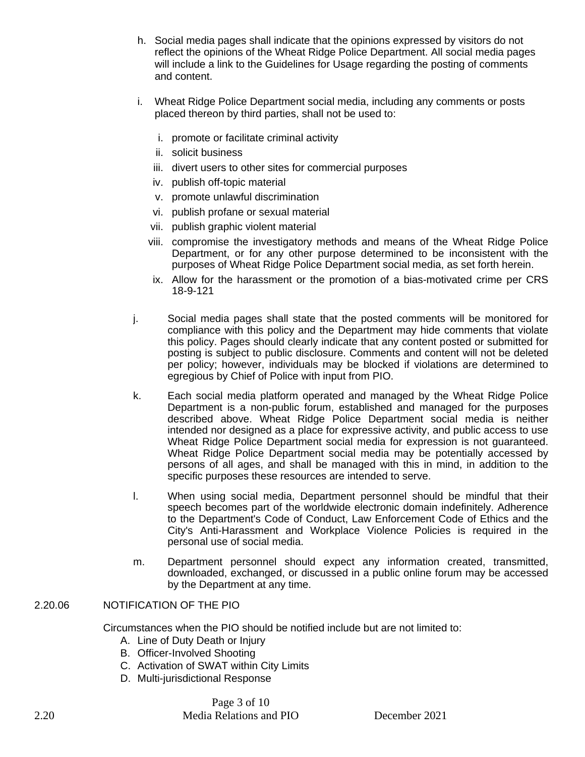- h. Social media pages shall indicate that the opinions expressed by visitors do not reflect the opinions of the Wheat Ridge Police Department. All social media pages will include a link to the Guidelines for Usage regarding the posting of comments and content.
- i. Wheat Ridge Police Department social media, including any comments or posts placed thereon by third parties, shall not be used to:
	- i. promote or facilitate criminal activity
	- ii. solicit business
	- iii. divert users to other sites for commercial purposes
	- iv. publish off-topic material
	- v. promote unlawful discrimination
	- vi. publish profane or sexual material
	- vii. publish graphic violent material
	- viii. compromise the investigatory methods and means of the Wheat Ridge Police Department, or for any other purpose determined to be inconsistent with the purposes of Wheat Ridge Police Department social media, as set forth herein.
	- ix. Allow for the harassment or the promotion of a bias-motivated crime per CRS 18-9-121
- j. Social media pages shall state that the posted comments will be monitored for compliance with this policy and the Department may hide comments that violate this policy. Pages should clearly indicate that any content posted or submitted for posting is subject to public disclosure. Comments and content will not be deleted per policy; however, individuals may be blocked if violations are determined to egregious by Chief of Police with input from PIO.
- k. Each social media platform operated and managed by the Wheat Ridge Police Department is a non-public forum, established and managed for the purposes described above. Wheat Ridge Police Department social media is neither intended nor designed as a place for expressive activity, and public access to use Wheat Ridge Police Department social media for expression is not guaranteed. Wheat Ridge Police Department social media may be potentially accessed by persons of all ages, and shall be managed with this in mind, in addition to the specific purposes these resources are intended to serve.
- l. When using social media, Department personnel should be mindful that their speech becomes part of the worldwide electronic domain indefinitely. Adherence to the Department's Code of Conduct, Law Enforcement Code of Ethics and the City's Anti-Harassment and Workplace Violence Policies is required in the personal use of social media.
- m. Department personnel should expect any information created, transmitted, downloaded, exchanged, or discussed in a public online forum may be accessed by the Department at any time.

## 2.20.06 NOTIFICATION OF THE PIO

Circumstances when the PIO should be notified include but are not limited to:

- A. Line of Duty Death or Injury
- B. Officer-Involved Shooting
- C. Activation of SWAT within City Limits
- D. Multi-jurisdictional Response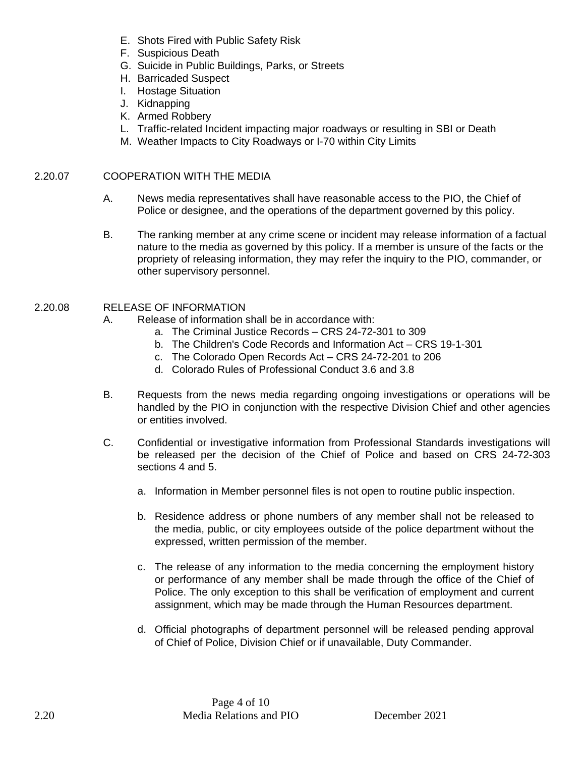- E. Shots Fired with Public Safety Risk
- F. Suspicious Death
- G. Suicide in Public Buildings, Parks, or Streets
- H. Barricaded Suspect
- I. Hostage Situation
- J. Kidnapping
- K. Armed Robbery
- L. Traffic-related Incident impacting major roadways or resulting in SBI or Death
- M. Weather Impacts to City Roadways or I-70 within City Limits

## 2.20.07 COOPERATION WITH THE MEDIA

- A. News media representatives shall have reasonable access to the PIO, the Chief of Police or designee, and the operations of the department governed by this policy.
- B. The ranking member at any crime scene or incident may release information of a factual nature to the media as governed by this policy. If a member is unsure of the facts or the propriety of releasing information, they may refer the inquiry to the PIO, commander, or other supervisory personnel.

## 2.20.08 RELEASE OF INFORMATION

- A. Release of information shall be in accordance with:
	- a. The Criminal Justice Records CRS 24-72-301 to 309
	- b. The Children's Code Records and Information Act CRS 19-1-301
	- c. The Colorado Open Records Act CRS 24-72-201 to 206
	- d. Colorado Rules of Professional Conduct 3.6 and 3.8
- B. Requests from the news media regarding ongoing investigations or operations will be handled by the PIO in conjunction with the respective Division Chief and other agencies or entities involved.
- C. Confidential or investigative information from Professional Standards investigations will be released per the decision of the Chief of Police and based on CRS 24-72-303 sections 4 and 5.
	- a. Information in Member personnel files is not open to routine public inspection.
	- b. Residence address or phone numbers of any member shall not be released to the media, public, or city employees outside of the police department without the expressed, written permission of the member.
	- c. The release of any information to the media concerning the employment history or performance of any member shall be made through the office of the Chief of Police. The only exception to this shall be verification of employment and current assignment, which may be made through the Human Resources department.
	- d. Official photographs of department personnel will be released pending approval of Chief of Police, Division Chief or if unavailable, Duty Commander.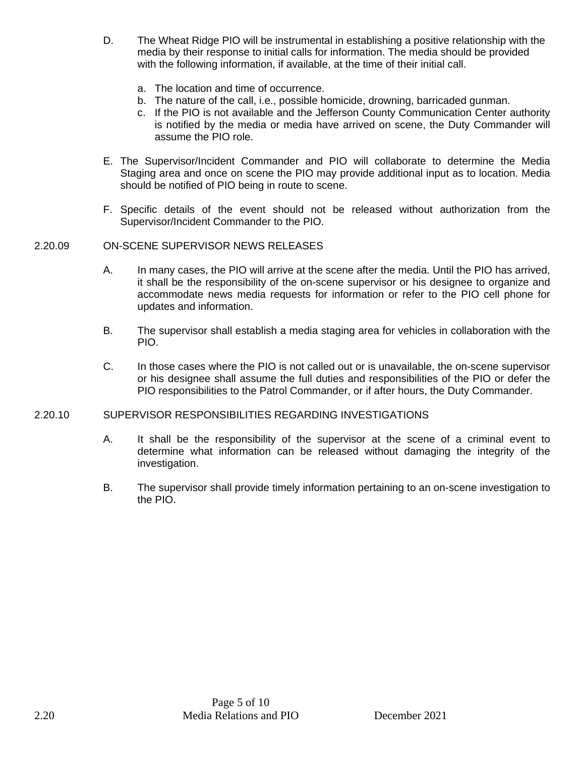- D. The Wheat Ridge PIO will be instrumental in establishing a positive relationship with the media by their response to initial calls for information. The media should be provided with the following information, if available, at the time of their initial call.
	- a. The location and time of occurrence.
	- b. The nature of the call, i.e., possible homicide, drowning, barricaded gunman.
	- c. If the PIO is not available and the Jefferson County Communication Center authority is notified by the media or media have arrived on scene, the Duty Commander will assume the PIO role.
- E. The Supervisor/Incident Commander and PIO will collaborate to determine the Media Staging area and once on scene the PIO may provide additional input as to location. Media should be notified of PIO being in route to scene.
- F. Specific details of the event should not be released without authorization from the Supervisor/Incident Commander to the PIO.

## 2.20.09 ON-SCENE SUPERVISOR NEWS RELEASES

- A. In many cases, the PIO will arrive at the scene after the media. Until the PIO has arrived, it shall be the responsibility of the on-scene supervisor or his designee to organize and accommodate news media requests for information or refer to the PIO cell phone for updates and information.
- B. The supervisor shall establish a media staging area for vehicles in collaboration with the PIO.
- C. In those cases where the PIO is not called out or is unavailable, the on-scene supervisor or his designee shall assume the full duties and responsibilities of the PIO or defer the PIO responsibilities to the Patrol Commander, or if after hours, the Duty Commander.

### 2.20.10 SUPERVISOR RESPONSIBILITIES REGARDING INVESTIGATIONS

- A. It shall be the responsibility of the supervisor at the scene of a criminal event to determine what information can be released without damaging the integrity of the investigation.
- B. The supervisor shall provide timely information pertaining to an on-scene investigation to the PIO.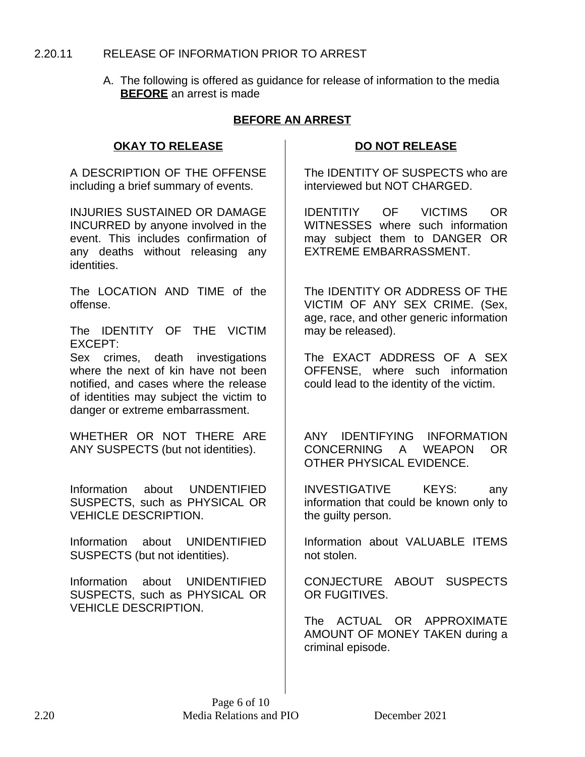## 2.20.11 RELEASE OF INFORMATION PRIOR TO ARREST

A. The following is offered as guidance for release of information to the media **BEFORE** an arrest is made

## **BEFORE AN ARREST**

## **OKAY TO RELEASE DO NOT RELEASE**

A DESCRIPTION OF THE OFFENSE including a brief summary of events.

INJURIES SUSTAINED OR DAMAGE INCURRED by anyone involved in the event. This includes confirmation of any deaths without releasing any identities.

The LOCATION AND TIME of the offense.

The IDENTITY OF THE VICTIM EXCEPT:

Sex crimes, death investigations where the next of kin have not been notified, and cases where the release of identities may subject the victim to danger or extreme embarrassment.

WHETHER OR NOT THERE ARE ANY SUSPECTS (but not identities).

Information about UNDENTIFIED SUSPECTS, such as PHYSICAL OR VEHICLE DESCRIPTION.

Information about UNIDENTIFIED SUSPECTS (but not identities).

Information about UNIDENTIFIED SUSPECTS, such as PHYSICAL OR VEHICLE DESCRIPTION.

The IDENTITY OF SUSPECTS who are interviewed but NOT CHARGED.

IDENTITIY OF VICTIMS OR WITNESSES where such information may subject them to DANGER OR EXTREME EMBARRASSMENT.

The IDENTITY OR ADDRESS OF THE VICTIM OF ANY SEX CRIME. (Sex, age, race, and other generic information may be released).

The EXACT ADDRESS OF A SEX OFFENSE, where such information could lead to the identity of the victim.

ANY IDENTIFYING INFORMATION CONCERNING A WEAPON OR OTHER PHYSICAL EVIDENCE.

INVESTIGATIVE KEYS: any information that could be known only to the guilty person.

Information about VALUABLE ITEMS not stolen.

CONJECTURE ABOUT SUSPECTS OR FUGITIVES.

The ACTUAL OR APPROXIMATE AMOUNT OF MONEY TAKEN during a criminal episode.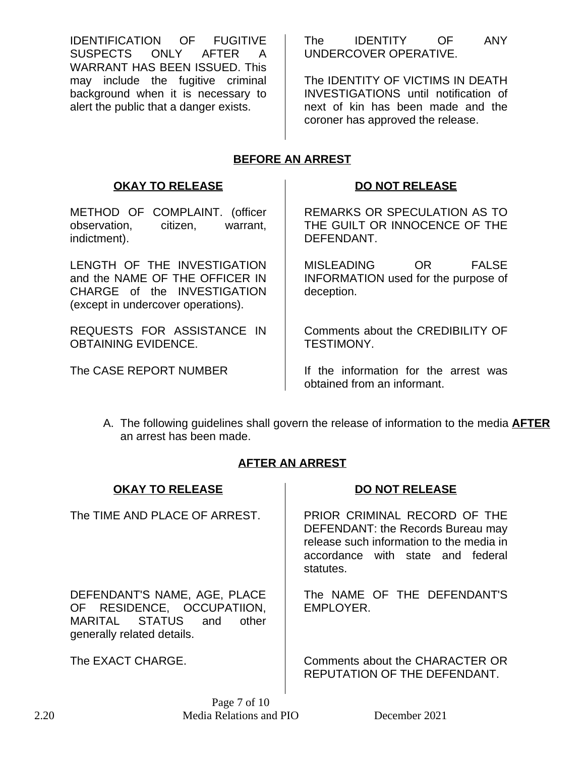IDENTIFICATION OF FUGITIVE SUSPECTS ONLY AFTER A WARRANT HAS BEEN ISSUED. This may include the fugitive criminal background when it is necessary to alert the public that a danger exists.

The IDENTITY OF ANY UNDERCOVER OPERATIVE.

The IDENTITY OF VICTIMS IN DEATH INVESTIGATIONS until notification of next of kin has been made and the coroner has approved the release.

# **BEFORE AN ARREST**

## **OKAY TO RELEASE DO NOT RELEASE**

METHOD OF COMPLAINT. (officer observation, citizen, warrant, indictment).

LENGTH OF THE INVESTIGATION and the NAME OF THE OFFICER IN CHARGE of the INVESTIGATION (except in undercover operations).

REQUESTS FOR ASSISTANCE IN OBTAINING EVIDENCE.

REMARKS OR SPECULATION AS TO THE GUILT OR INNOCENCE OF THE DEFENDANT.

MISLEADING OR FALSE INFORMATION used for the purpose of deception.

Comments about the CREDIBILITY OF TESTIMONY.

The CASE REPORT NUMBER  $\parallel$  If the information for the arrest was obtained from an informant.

A. The following guidelines shall govern the release of information to the media **AFTER** an arrest has been made.

# **AFTER AN ARREST**

| <b>OKAY TO RELEASE</b>                                                                                                  | <b>DO NOT RELEASE</b>                                                                                                                                           |
|-------------------------------------------------------------------------------------------------------------------------|-----------------------------------------------------------------------------------------------------------------------------------------------------------------|
| The TIME AND PLACE OF ARREST.                                                                                           | PRIOR CRIMINAL RECORD OF THE<br>DEFENDANT: the Records Bureau may<br>release such information to the media in<br>accordance with state and federal<br>statutes. |
| DEFENDANT'S NAME, AGE, PLACE<br>OF RESIDENCE, OCCUPATIION,<br>MARITAL STATUS and<br>other<br>generally related details. | The NAME OF THE DEFENDANT'S<br>EMPLOYER.                                                                                                                        |
| The EXACT CHARGE.                                                                                                       | Comments about the CHARACTER OR                                                                                                                                 |

Page 7 of 10

REPUTATION OF THE DEFENDANT.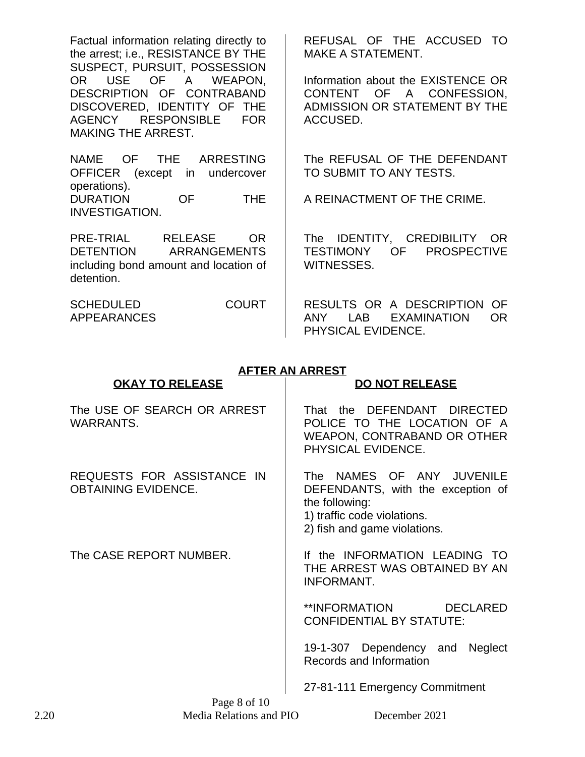Factual information relating directly to the arrest; i.e., RESISTANCE BY THE SUSPECT, PURSUIT, POSSESSION OR USE OF A WEAPON, DESCRIPTION OF CONTRABAND DISCOVERED, IDENTITY OF THE AGENCY RESPONSIBLE FOR MAKING THE ARREST.

NAME OF THE ARRESTING OFFICER (except in undercover operations). DURATION OF THE INVESTIGATION.

PRE-TRIAL RELEASE OR DETENTION ARRANGEMENTS including bond amount and location of detention.

SCHEDULED COURT APPEARANCES

REFUSAL OF THE ACCUSED TO MAKE A STATEMENT.

Information about the EXISTENCE OR CONTENT OF A CONFESSION, ADMISSION OR STATEMENT BY THE ACCUSED.

The REFUSAL OF THE DEFENDANT TO SUBMIT TO ANY TESTS.

A REINACTMENT OF THE CRIME.

The IDENTITY, CREDIBILITY OR TESTIMONY OF PROSPECTIVE WITNESSES.

RESULTS OR A DESCRIPTION OF ANY LAB EXAMINATION OR PHYSICAL EVIDENCE.

# **AFTER AN ARREST**

| <b>OKAY TO RELEASE</b>                                   | <b>DO NOT RELEASE</b>                                                                                                                           |
|----------------------------------------------------------|-------------------------------------------------------------------------------------------------------------------------------------------------|
| The USE OF SEARCH OR ARREST<br>WARRANTS.                 | That the DEFENDANT DIRECTED<br>POLICE TO THE LOCATION OF A<br>WEAPON, CONTRABAND OR OTHER<br>PHYSICAL EVIDENCE.                                 |
| REQUESTS FOR ASSISTANCE IN<br><b>OBTAINING EVIDENCE.</b> | The NAMES OF ANY JUVENILE<br>DEFENDANTS, with the exception of<br>the following:<br>1) traffic code violations.<br>2) fish and game violations. |
| The CASE REPORT NUMBER.                                  | If the INFORMATION LEADING TO<br>THE ARREST WAS OBTAINED BY AN<br><b>INFORMANT.</b>                                                             |
|                                                          | **INFORMATION<br><b>DECLARED</b><br><b>CONFIDENTIAL BY STATUTE:</b>                                                                             |
|                                                          | 19-1-307 Dependency and Neglect<br>Records and Information                                                                                      |
|                                                          | 27-81-111 Emergency Commitment                                                                                                                  |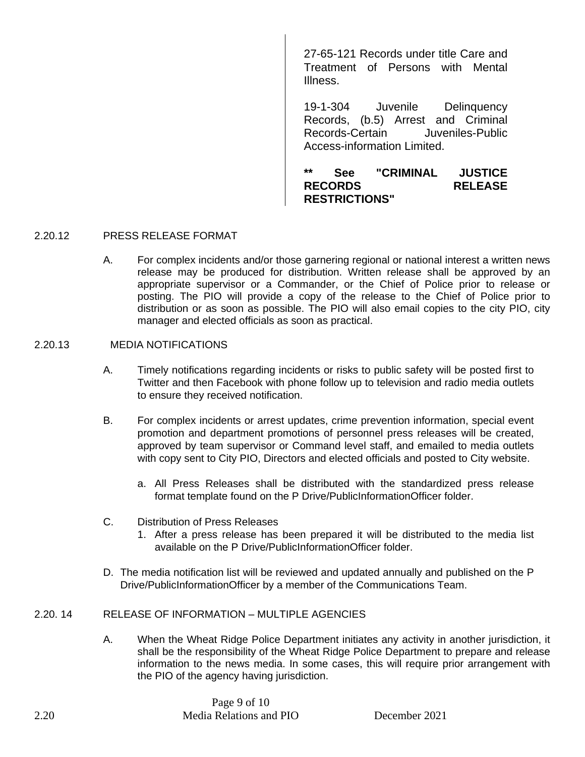27-65-121 Records under title Care and Treatment of Persons with Mental Illness.

19-1-304 Juvenile Delinquency Records, (b.5) Arrest and Criminal Records-Certain Juveniles-Public Access-information Limited.

**\*\* See "CRIMINAL JUSTICE RECORDS RELEASE RESTRICTIONS"**

## 2.20.12 PRESS RELEASE FORMAT

A. For complex incidents and/or those garnering regional or national interest a written news release may be produced for distribution. Written release shall be approved by an appropriate supervisor or a Commander, or the Chief of Police prior to release or posting. The PIO will provide a copy of the release to the Chief of Police prior to distribution or as soon as possible. The PIO will also email copies to the city PIO, city manager and elected officials as soon as practical.

### 2.20.13 MEDIA NOTIFICATIONS

- A. Timely notifications regarding incidents or risks to public safety will be posted first to Twitter and then Facebook with phone follow up to television and radio media outlets to ensure they received notification.
- B. For complex incidents or arrest updates, crime prevention information, special event promotion and department promotions of personnel press releases will be created, approved by team supervisor or Command level staff, and emailed to media outlets with copy sent to City PIO, Directors and elected officials and posted to City website.
	- a. All Press Releases shall be distributed with the standardized press release format template found on the P Drive/PublicInformationOfficer folder.
- C. Distribution of Press Releases
	- 1. After a press release has been prepared it will be distributed to the media list available on the P Drive/PublicInformationOfficer folder.
- D. The media notification list will be reviewed and updated annually and published on the P Drive/PublicInformationOfficer by a member of the Communications Team.

## 2.20. 14 RELEASE OF INFORMATION – MULTIPLE AGENCIES

A. When the Wheat Ridge Police Department initiates any activity in another jurisdiction, it shall be the responsibility of the Wheat Ridge Police Department to prepare and release information to the news media. In some cases, this will require prior arrangement with the PIO of the agency having jurisdiction.